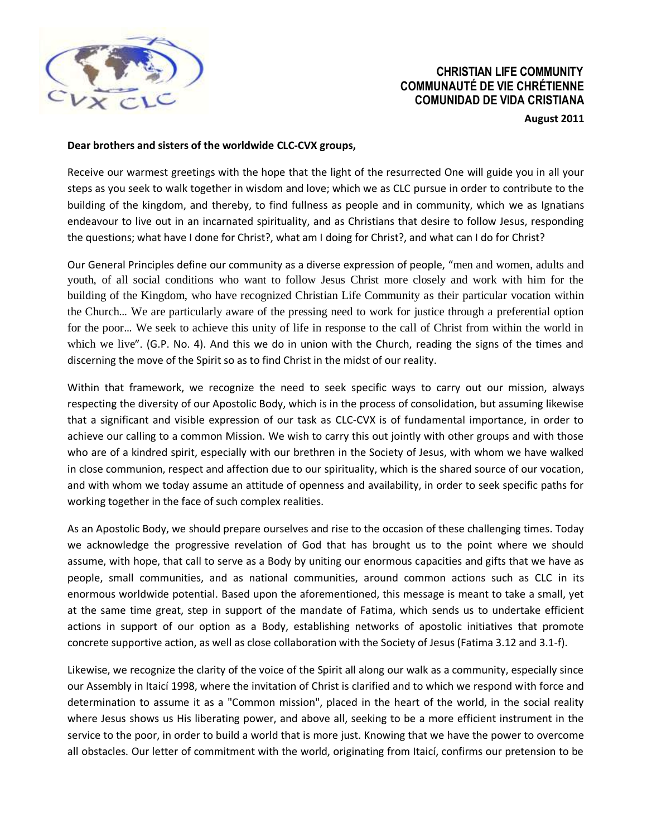

## **CHRISTIAN LIFE COMMUNITY COMMUNAUTÉ DE VIE CHRÉTIENNE COMUNIDAD DE VIDA CRISTIANA**

**August 2011** 

## **Dear brothers and sisters of the worldwide CLC-CVX groups,**

Receive our warmest greetings with the hope that the light of the resurrected One will guide you in all your steps as you seek to walk together in wisdom and love; which we as CLC pursue in order to contribute to the building of the kingdom, and thereby, to find fullness as people and in community, which we as Ignatians endeavour to live out in an incarnated spirituality, and as Christians that desire to follow Jesus, responding the questions; what have I done for Christ?, what am I doing for Christ?, and what can I do for Christ?

Our General Principles define our community as a diverse expression of people, "men and women, adults and youth, of all social conditions who want to follow Jesus Christ more closely and work with him for the building of the Kingdom, who have recognized Christian Life Community as their particular vocation within the Church… We are particularly aware of the pressing need to work for justice through a preferential option for the poor… We seek to achieve this unity of life in response to the call of Christ from within the world in which we live". (G.P. No. 4). And this we do in union with the Church, reading the signs of the times and discerning the move of the Spirit so as to find Christ in the midst of our reality.

Within that framework, we recognize the need to seek specific ways to carry out our mission, always respecting the diversity of our Apostolic Body, which is in the process of consolidation, but assuming likewise that a significant and visible expression of our task as CLC-CVX is of fundamental importance, in order to achieve our calling to a common Mission. We wish to carry this out jointly with other groups and with those who are of a kindred spirit, especially with our brethren in the Society of Jesus, with whom we have walked in close communion, respect and affection due to our spirituality, which is the shared source of our vocation, and with whom we today assume an attitude of openness and availability, in order to seek specific paths for working together in the face of such complex realities.

As an Apostolic Body, we should prepare ourselves and rise to the occasion of these challenging times. Today we acknowledge the progressive revelation of God that has brought us to the point where we should assume, with hope, that call to serve as a Body by uniting our enormous capacities and gifts that we have as people, small communities, and as national communities, around common actions such as CLC in its enormous worldwide potential. Based upon the aforementioned, this message is meant to take a small, yet at the same time great, step in support of the mandate of Fatima, which sends us to undertake efficient actions in support of our option as a Body, establishing networks of apostolic initiatives that promote concrete supportive action, as well as close collaboration with the Society of Jesus (Fatima 3.12 and 3.1-f).

Likewise, we recognize the clarity of the voice of the Spirit all along our walk as a community, especially since our Assembly in Itaicí 1998, where the invitation of Christ is clarified and to which we respond with force and determination to assume it as a "Common mission", placed in the heart of the world, in the social reality where Jesus shows us His liberating power, and above all, seeking to be a more efficient instrument in the service to the poor, in order to build a world that is more just. Knowing that we have the power to overcome all obstacles. Our letter of commitment with the world, originating from Itaicí, confirms our pretension to be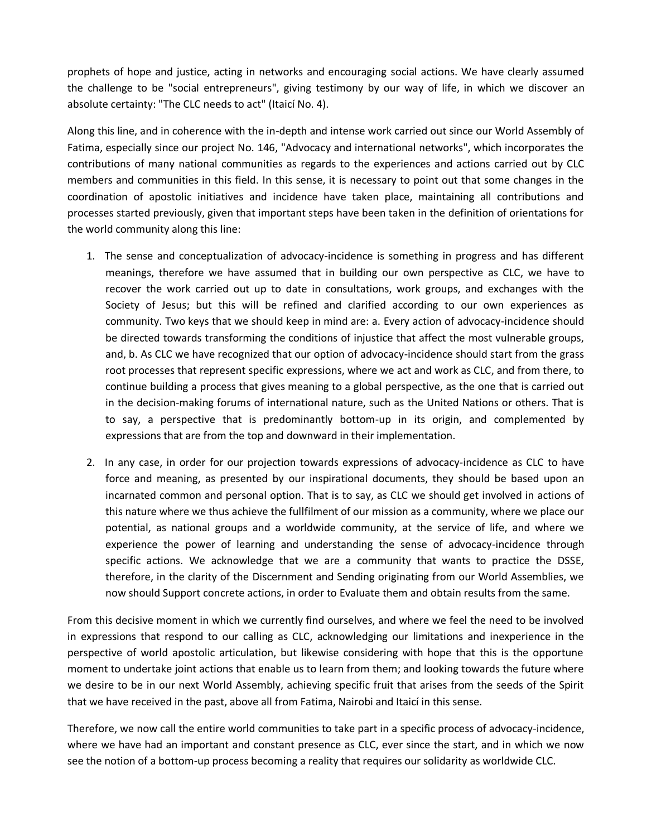prophets of hope and justice, acting in networks and encouraging social actions. We have clearly assumed the challenge to be "social entrepreneurs", giving testimony by our way of life, in which we discover an absolute certainty: "The CLC needs to act" (Itaicí No. 4).

Along this line, and in coherence with the in-depth and intense work carried out since our World Assembly of Fatima, especially since our project No. 146, "Advocacy and international networks", which incorporates the contributions of many national communities as regards to the experiences and actions carried out by CLC members and communities in this field. In this sense, it is necessary to point out that some changes in the coordination of apostolic initiatives and incidence have taken place, maintaining all contributions and processes started previously, given that important steps have been taken in the definition of orientations for the world community along this line:

- 1. The sense and conceptualization of advocacy-incidence is something in progress and has different meanings, therefore we have assumed that in building our own perspective as CLC, we have to recover the work carried out up to date in consultations, work groups, and exchanges with the Society of Jesus; but this will be refined and clarified according to our own experiences as community. Two keys that we should keep in mind are: a. Every action of advocacy-incidence should be directed towards transforming the conditions of injustice that affect the most vulnerable groups, and, b. As CLC we have recognized that our option of advocacy-incidence should start from the grass root processes that represent specific expressions, where we act and work as CLC, and from there, to continue building a process that gives meaning to a global perspective, as the one that is carried out in the decision-making forums of international nature, such as the United Nations or others. That is to say, a perspective that is predominantly bottom-up in its origin, and complemented by expressions that are from the top and downward in their implementation.
- 2. In any case, in order for our projection towards expressions of advocacy-incidence as CLC to have force and meaning, as presented by our inspirational documents, they should be based upon an incarnated common and personal option. That is to say, as CLC we should get involved in actions of this nature where we thus achieve the fullfilment of our mission as a community, where we place our potential, as national groups and a worldwide community, at the service of life, and where we experience the power of learning and understanding the sense of advocacy-incidence through specific actions. We acknowledge that we are a community that wants to practice the DSSE, therefore, in the clarity of the Discernment and Sending originating from our World Assemblies, we now should Support concrete actions, in order to Evaluate them and obtain results from the same.

From this decisive moment in which we currently find ourselves, and where we feel the need to be involved in expressions that respond to our calling as CLC, acknowledging our limitations and inexperience in the perspective of world apostolic articulation, but likewise considering with hope that this is the opportune moment to undertake joint actions that enable us to learn from them; and looking towards the future where we desire to be in our next World Assembly, achieving specific fruit that arises from the seeds of the Spirit that we have received in the past, above all from Fatima, Nairobi and Itaicí in this sense.

Therefore, we now call the entire world communities to take part in a specific process of advocacy-incidence, where we have had an important and constant presence as CLC, ever since the start, and in which we now see the notion of a bottom-up process becoming a reality that requires our solidarity as worldwide CLC.